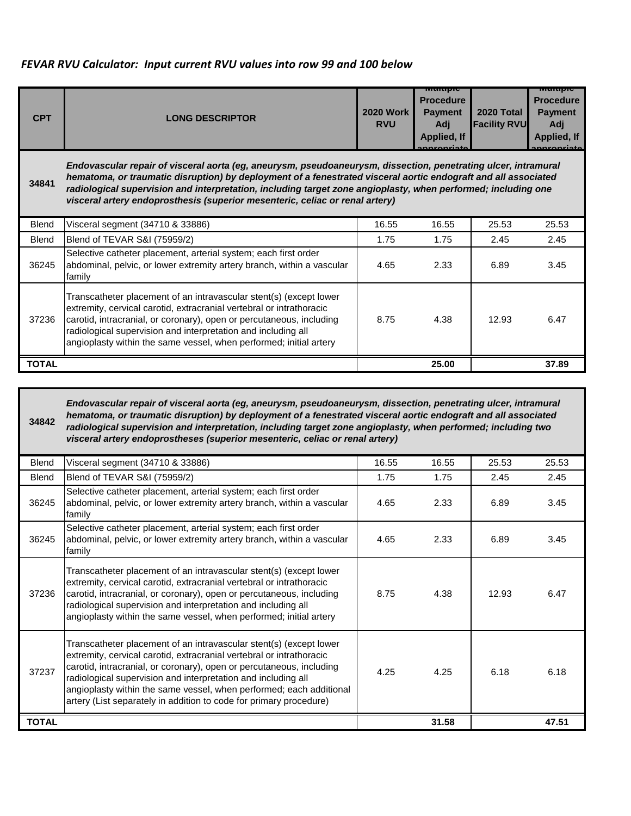## *FEVAR RVU Calculator: Input current RVU values into row 99 and 100 below*

| <b>CPT</b>   | <b>LONG DESCRIPTOR</b>                                                                                                                                                                                                                                                                                                                                                                                                            | <b>2020 Work</b><br><b>RVU</b> | Multiple<br><b>Procedure</b><br><b>Payment</b><br>Adi<br><b>Applied, If</b> | 2020 Total<br><b>Facility RVU</b> | <b>Mairibic</b><br><b>Procedure</b><br><b>Payment</b><br>Adj<br><b>Applied, If</b><br>nnranriata |
|--------------|-----------------------------------------------------------------------------------------------------------------------------------------------------------------------------------------------------------------------------------------------------------------------------------------------------------------------------------------------------------------------------------------------------------------------------------|--------------------------------|-----------------------------------------------------------------------------|-----------------------------------|--------------------------------------------------------------------------------------------------|
| 34841        | Endovascular repair of visceral aorta (eg, aneurysm, pseudoaneurysm, dissection, penetrating ulcer, intramural<br>hematoma, or traumatic disruption) by deployment of a fenestrated visceral aortic endograft and all associated<br>radiological supervision and interpretation, including target zone angioplasty, when performed; including one<br>visceral artery endoprosthesis (superior mesenteric, celiac or renal artery) |                                |                                                                             |                                   |                                                                                                  |
| <b>Blend</b> | Visceral segment (34710 & 33886)                                                                                                                                                                                                                                                                                                                                                                                                  | 16.55                          | 16.55                                                                       | 25.53                             | 25.53                                                                                            |
| Blend        | Blend of TEVAR S&I (75959/2)                                                                                                                                                                                                                                                                                                                                                                                                      | 1.75                           | 1.75                                                                        | 2.45                              | 2.45                                                                                             |
| 36245        | Selective catheter placement, arterial system; each first order<br>abdominal, pelvic, or lower extremity artery branch, within a vascular<br>family                                                                                                                                                                                                                                                                               | 4.65                           | 2.33                                                                        | 6.89                              | 3.45                                                                                             |
| 37236        | Transcatheter placement of an intravascular stent(s) (except lower<br>extremity, cervical carotid, extracranial vertebral or intrathoracic<br>carotid, intracranial, or coronary), open or percutaneous, including<br>radiological supervision and interpretation and including all<br>angioplasty within the same vessel, when performed; initial artery                                                                         | 8.75                           | 4.38                                                                        | 12.93                             | 6.47                                                                                             |
| <b>TOTAL</b> |                                                                                                                                                                                                                                                                                                                                                                                                                                   |                                | 25.00                                                                       |                                   | 37.89                                                                                            |

**34842** *Endovascular repair of visceral aorta (eg, aneurysm, pseudoaneurysm, dissection, penetrating ulcer, intramural hematoma, or traumatic disruption) by deployment of a fenestrated visceral aortic endograft and all associated radiological supervision and interpretation, including target zone angioplasty, when performed; including two visceral artery endoprostheses (superior mesenteric, celiac or renal artery)*

| <b>Blend</b> | Visceral segment (34710 & 33886)                                                                                                                                                                                                                                                                                                                                                                                                 | 16.55 | 16.55 | 25.53 | 25.53 |
|--------------|----------------------------------------------------------------------------------------------------------------------------------------------------------------------------------------------------------------------------------------------------------------------------------------------------------------------------------------------------------------------------------------------------------------------------------|-------|-------|-------|-------|
| <b>Blend</b> | Blend of TEVAR S&I (75959/2)<br>1.75                                                                                                                                                                                                                                                                                                                                                                                             |       | 1.75  | 2.45  | 2.45  |
| 36245        | Selective catheter placement, arterial system; each first order<br>abdominal, pelvic, or lower extremity artery branch, within a vascular<br>family                                                                                                                                                                                                                                                                              |       | 2.33  | 6.89  | 3.45  |
| 36245        | Selective catheter placement, arterial system; each first order<br>abdominal, pelvic, or lower extremity artery branch, within a vascular<br>family                                                                                                                                                                                                                                                                              | 4.65  | 2.33  | 6.89  | 3.45  |
| 37236        | Transcatheter placement of an intravascular stent(s) (except lower<br>extremity, cervical carotid, extracranial vertebral or intrathoracic<br>carotid, intracranial, or coronary), open or percutaneous, including<br>radiological supervision and interpretation and including all<br>angioplasty within the same vessel, when performed; initial artery                                                                        | 8.75  | 4.38  | 12.93 | 6.47  |
| 37237        | Transcatheter placement of an intravascular stent(s) (except lower<br>extremity, cervical carotid, extracranial vertebral or intrathoracic<br>carotid, intracranial, or coronary), open or percutaneous, including<br>radiological supervision and interpretation and including all<br>angioplasty within the same vessel, when performed; each additional<br>artery (List separately in addition to code for primary procedure) | 4.25  | 4.25  | 6.18  | 6.18  |
| <b>TOTAL</b> |                                                                                                                                                                                                                                                                                                                                                                                                                                  |       | 31.58 |       | 47.51 |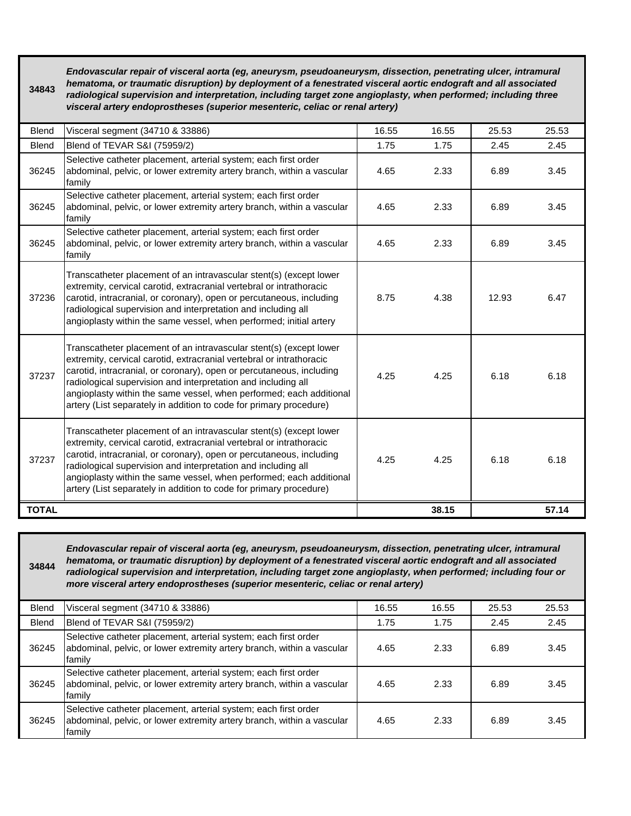| 34843        | Endovascular repair of visceral aorta (eg, aneurysm, pseudoaneurysm, dissection, penetrating ulcer, intramural<br>hematoma, or traumatic disruption) by deployment of a fenestrated visceral aortic endograft and all associated<br>radiological supervision and interpretation, including target zone angioplasty, when performed; including three<br>visceral artery endoprostheses (superior mesenteric, celiac or renal artery) |       |       |       |       |
|--------------|-------------------------------------------------------------------------------------------------------------------------------------------------------------------------------------------------------------------------------------------------------------------------------------------------------------------------------------------------------------------------------------------------------------------------------------|-------|-------|-------|-------|
| <b>Blend</b> | Visceral segment (34710 & 33886)                                                                                                                                                                                                                                                                                                                                                                                                    | 16.55 | 16.55 | 25.53 | 25.53 |
| <b>Blend</b> | Blend of TEVAR S&I (75959/2)                                                                                                                                                                                                                                                                                                                                                                                                        | 1.75  | 1.75  | 2.45  | 2.45  |
| 36245        | Selective catheter placement, arterial system; each first order<br>abdominal, pelvic, or lower extremity artery branch, within a vascular<br>family                                                                                                                                                                                                                                                                                 | 4.65  | 2.33  | 6.89  | 3.45  |
| 36245        | Selective catheter placement, arterial system; each first order<br>abdominal, pelvic, or lower extremity artery branch, within a vascular<br>family                                                                                                                                                                                                                                                                                 | 4.65  | 2.33  | 6.89  | 3.45  |
| 36245        | Selective catheter placement, arterial system; each first order<br>abdominal, pelvic, or lower extremity artery branch, within a vascular<br>family                                                                                                                                                                                                                                                                                 | 4.65  | 2.33  | 6.89  | 3.45  |
| 37236        | Transcatheter placement of an intravascular stent(s) (except lower<br>extremity, cervical carotid, extracranial vertebral or intrathoracic<br>carotid, intracranial, or coronary), open or percutaneous, including<br>radiological supervision and interpretation and including all<br>angioplasty within the same vessel, when performed; initial artery                                                                           | 8.75  | 4.38  | 12.93 | 6.47  |
| 37237        | Transcatheter placement of an intravascular stent(s) (except lower<br>extremity, cervical carotid, extracranial vertebral or intrathoracic<br>carotid, intracranial, or coronary), open or percutaneous, including<br>radiological supervision and interpretation and including all<br>angioplasty within the same vessel, when performed; each additional<br>artery (List separately in addition to code for primary procedure)    | 4.25  | 4.25  | 6.18  | 6.18  |
| 37237        | Transcatheter placement of an intravascular stent(s) (except lower<br>extremity, cervical carotid, extracranial vertebral or intrathoracic<br>carotid, intracranial, or coronary), open or percutaneous, including<br>radiological supervision and interpretation and including all<br>angioplasty within the same vessel, when performed; each additional<br>artery (List separately in addition to code for primary procedure)    | 4.25  | 4.25  | 6.18  | 6.18  |
| <b>TOTAL</b> |                                                                                                                                                                                                                                                                                                                                                                                                                                     |       | 38.15 |       | 57.14 |

*Endovascular repair of visceral aorta (eg, aneurysm, pseudoaneurysm, dissection, penetrating ulcer, intramural hematoma, or traumatic disruption) by deployment of a fenestrated visceral aortic endograft and all associated radiological supervision and interpretation, including target zone angioplasty, when performed; including four or more visceral artery endoprostheses (superior mesenteric, celiac or renal artery)*

**34844**

| <b>Blend</b> | Visceral segment (34710 & 33886)                                                                                                                    | 16.55        | 16.55 | 25.53 | 25.53 |
|--------------|-----------------------------------------------------------------------------------------------------------------------------------------------------|--------------|-------|-------|-------|
| <b>Blend</b> | Blend of TEVAR S&I (75959/2)                                                                                                                        | 1.75         | 1.75  | 2.45  | 2.45  |
| 36245        | Selective catheter placement, arterial system; each first order<br>abdominal, pelvic, or lower extremity artery branch, within a vascular<br>family | 2.33<br>4.65 |       | 6.89  | 3.45  |
| 36245        | Selective catheter placement, arterial system; each first order<br>abdominal, pelvic, or lower extremity artery branch, within a vascular<br>family | 4.65         | 2.33  | 6.89  | 3.45  |
| 36245        | Selective catheter placement, arterial system; each first order<br>abdominal, pelvic, or lower extremity artery branch, within a vascular<br>family | 4.65         | 2.33  | 6.89  | 3.45  |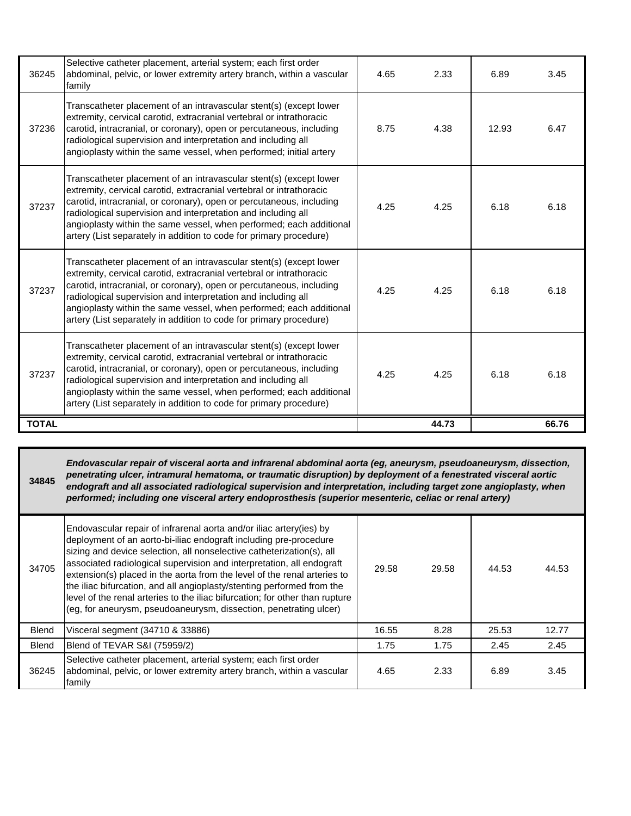| 36245        | Selective catheter placement, arterial system; each first order<br>abdominal, pelvic, or lower extremity artery branch, within a vascular<br>family                                                                                                                                                                                                                                                                              | 4.65<br>2.33 |       | 6.89  | 3.45  |
|--------------|----------------------------------------------------------------------------------------------------------------------------------------------------------------------------------------------------------------------------------------------------------------------------------------------------------------------------------------------------------------------------------------------------------------------------------|--------------|-------|-------|-------|
| 37236        | Transcatheter placement of an intravascular stent(s) (except lower<br>extremity, cervical carotid, extracranial vertebral or intrathoracic<br>carotid, intracranial, or coronary), open or percutaneous, including<br>radiological supervision and interpretation and including all<br>angioplasty within the same vessel, when performed; initial artery                                                                        | 8.75<br>4.38 |       | 12.93 | 6.47  |
| 37237        | Transcatheter placement of an intravascular stent(s) (except lower<br>extremity, cervical carotid, extracranial vertebral or intrathoracic<br>carotid, intracranial, or coronary), open or percutaneous, including<br>radiological supervision and interpretation and including all<br>angioplasty within the same vessel, when performed; each additional<br>artery (List separately in addition to code for primary procedure) | 4.25<br>4.25 |       | 6.18  | 6.18  |
| 37237        | Transcatheter placement of an intravascular stent(s) (except lower<br>extremity, cervical carotid, extracranial vertebral or intrathoracic<br>carotid, intracranial, or coronary), open or percutaneous, including<br>radiological supervision and interpretation and including all<br>angioplasty within the same vessel, when performed; each additional<br>artery (List separately in addition to code for primary procedure) | 4.25         | 4.25  | 6.18  | 6.18  |
| 37237        | Transcatheter placement of an intravascular stent(s) (except lower<br>extremity, cervical carotid, extracranial vertebral or intrathoracic<br>carotid, intracranial, or coronary), open or percutaneous, including<br>radiological supervision and interpretation and including all<br>angioplasty within the same vessel, when performed; each additional<br>artery (List separately in addition to code for primary procedure) | 4.25         | 4.25  | 6.18  | 6.18  |
| <b>TOTAL</b> |                                                                                                                                                                                                                                                                                                                                                                                                                                  |              | 44.73 |       | 66.76 |

**34845** *Endovascular repair of visceral aorta and infrarenal abdominal aorta (eg, aneurysm, pseudoaneurysm, dissection, penetrating ulcer, intramural hematoma, or traumatic disruption) by deployment of a fenestrated visceral aortic endograft and all associated radiological supervision and interpretation, including target zone angioplasty, when performed; including one visceral artery endoprosthesis (superior mesenteric, celiac or renal artery)*

| 34705        | Endovascular repair of infrarenal aorta and/or iliac artery(ies) by<br>deployment of an aorto-bi-iliac endograft including pre-procedure<br>sizing and device selection, all nonselective catheterization(s), all<br>associated radiological supervision and interpretation, all endograft<br>extension(s) placed in the aorta from the level of the renal arteries to<br>the iliac bifurcation, and all angioplasty/stenting performed from the<br>level of the renal arteries to the iliac bifurcation; for other than rupture<br>(eg, for aneurysm, pseudoaneurysm, dissection, penetrating ulcer) | 29.58 | 29.58 | 44.53 | 44.53 |
|--------------|-------------------------------------------------------------------------------------------------------------------------------------------------------------------------------------------------------------------------------------------------------------------------------------------------------------------------------------------------------------------------------------------------------------------------------------------------------------------------------------------------------------------------------------------------------------------------------------------------------|-------|-------|-------|-------|
| <b>Blend</b> | Visceral segment (34710 & 33886)                                                                                                                                                                                                                                                                                                                                                                                                                                                                                                                                                                      | 16.55 | 8.28  | 25.53 | 12.77 |
| <b>Blend</b> | Blend of TEVAR S&I (75959/2)                                                                                                                                                                                                                                                                                                                                                                                                                                                                                                                                                                          | 1.75  | 1.75  | 2.45  | 2.45  |
| 36245        | Selective catheter placement, arterial system; each first order<br>abdominal, pelvic, or lower extremity artery branch, within a vascular<br>family                                                                                                                                                                                                                                                                                                                                                                                                                                                   | 4.65  | 2.33  | 6.89  | 3.45  |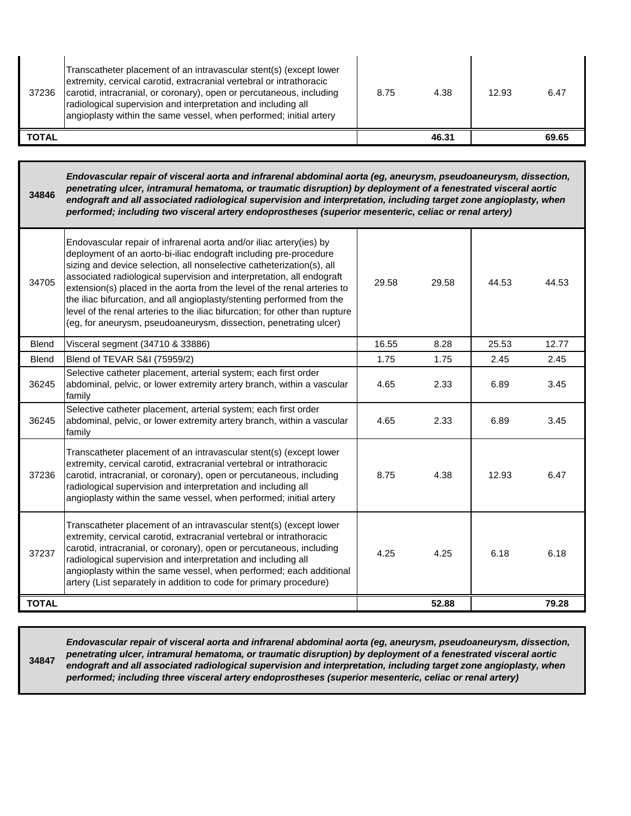| 37236 | Transcatheter placement of an intravascular stent(s) (except lower<br>extremity, cervical carotid, extracranial vertebral or intrathoracic<br>carotid, intracranial, or coronary), open or percutaneous, including<br>radiological supervision and interpretation and including all<br>angioplasty within the same vessel, when performed; initial artery | 8.75 | 4.38  | 12.93 | 6.47  |
|-------|-----------------------------------------------------------------------------------------------------------------------------------------------------------------------------------------------------------------------------------------------------------------------------------------------------------------------------------------------------------|------|-------|-------|-------|
| TOTAL |                                                                                                                                                                                                                                                                                                                                                           |      | 46.31 |       | 69.65 |

**34846** *Endovascular repair of visceral aorta and infrarenal abdominal aorta (eg, aneurysm, pseudoaneurysm, dissection, penetrating ulcer, intramural hematoma, or traumatic disruption) by deployment of a fenestrated visceral aortic endograft and all associated radiological supervision and interpretation, including target zone angioplasty, when performed; including two visceral artery endoprostheses (superior mesenteric, celiac or renal artery)*

| 34705        | Endovascular repair of infrarenal aorta and/or iliac artery(ies) by<br>deployment of an aorto-bi-iliac endograft including pre-procedure<br>sizing and device selection, all nonselective catheterization(s), all<br>associated radiological supervision and interpretation, all endograft<br>extension(s) placed in the aorta from the level of the renal arteries to<br>the iliac bifurcation, and all angioplasty/stenting performed from the<br>level of the renal arteries to the iliac bifurcation; for other than rupture<br>(eg, for aneurysm, pseudoaneurysm, dissection, penetrating ulcer) | 29.58 | 29.58 | 44.53 | 44.53 |
|--------------|-------------------------------------------------------------------------------------------------------------------------------------------------------------------------------------------------------------------------------------------------------------------------------------------------------------------------------------------------------------------------------------------------------------------------------------------------------------------------------------------------------------------------------------------------------------------------------------------------------|-------|-------|-------|-------|
| <b>Blend</b> | Visceral segment (34710 & 33886)                                                                                                                                                                                                                                                                                                                                                                                                                                                                                                                                                                      | 16.55 | 8.28  | 25.53 | 12.77 |
| <b>Blend</b> | Blend of TEVAR S&I (75959/2)                                                                                                                                                                                                                                                                                                                                                                                                                                                                                                                                                                          | 1.75  | 1.75  | 2.45  | 2.45  |
| 36245        | Selective catheter placement, arterial system; each first order<br>abdominal, pelvic, or lower extremity artery branch, within a vascular<br>family                                                                                                                                                                                                                                                                                                                                                                                                                                                   | 4.65  | 2.33  | 6.89  | 3.45  |
| 36245        | Selective catheter placement, arterial system; each first order<br>abdominal, pelvic, or lower extremity artery branch, within a vascular<br>family                                                                                                                                                                                                                                                                                                                                                                                                                                                   | 4.65  | 2.33  | 6.89  | 3.45  |
| 37236        | Transcatheter placement of an intravascular stent(s) (except lower<br>extremity, cervical carotid, extracranial vertebral or intrathoracic<br>carotid, intracranial, or coronary), open or percutaneous, including<br>radiological supervision and interpretation and including all<br>angioplasty within the same vessel, when performed; initial artery                                                                                                                                                                                                                                             | 8.75  | 4.38  | 12.93 | 6.47  |
| 37237        | Transcatheter placement of an intravascular stent(s) (except lower<br>extremity, cervical carotid, extracranial vertebral or intrathoracic<br>carotid, intracranial, or coronary), open or percutaneous, including<br>radiological supervision and interpretation and including all<br>angioplasty within the same vessel, when performed; each additional<br>artery (List separately in addition to code for primary procedure)                                                                                                                                                                      | 4.25  | 4.25  | 6.18  | 6.18  |
| <b>TOTAL</b> |                                                                                                                                                                                                                                                                                                                                                                                                                                                                                                                                                                                                       |       | 52.88 |       | 79.28 |

**34847** *Endovascular repair of visceral aorta and infrarenal abdominal aorta (eg, aneurysm, pseudoaneurysm, dissection, penetrating ulcer, intramural hematoma, or traumatic disruption) by deployment of a fenestrated visceral aortic*  endograft and all associated radiological supervision and interpretation, including target zone angioplasty, when *performed; including three visceral artery endoprostheses (superior mesenteric, celiac or renal artery)*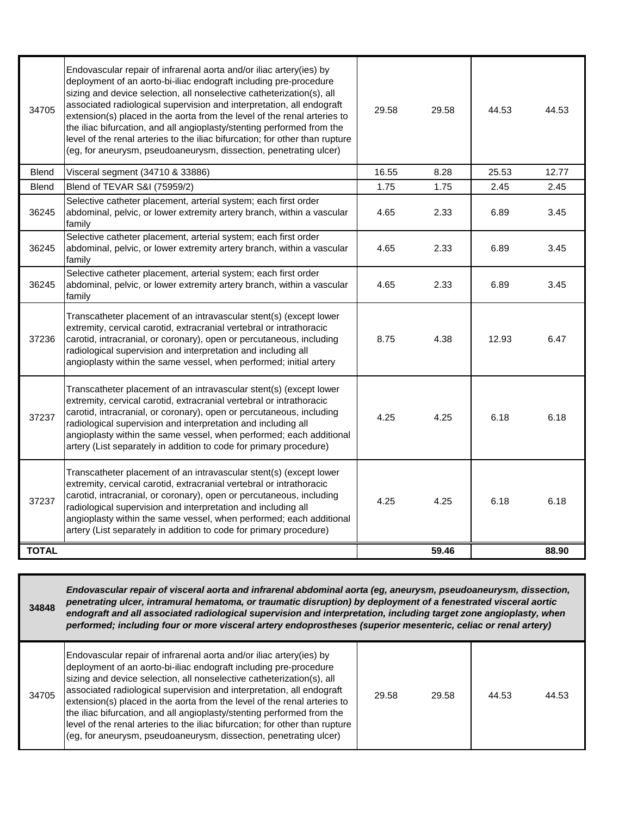| 34705        | Endovascular repair of infrarenal aorta and/or iliac artery(ies) by<br>deployment of an aorto-bi-iliac endograft including pre-procedure<br>sizing and device selection, all nonselective catheterization(s), all<br>associated radiological supervision and interpretation, all endograft<br>extension(s) placed in the aorta from the level of the renal arteries to<br>the iliac bifurcation, and all angioplasty/stenting performed from the<br>level of the renal arteries to the iliac bifurcation; for other than rupture<br>(eg, for aneurysm, pseudoaneurysm, dissection, penetrating ulcer) | 29.58 | 29.58 | 44.53 | 44.53 |
|--------------|-------------------------------------------------------------------------------------------------------------------------------------------------------------------------------------------------------------------------------------------------------------------------------------------------------------------------------------------------------------------------------------------------------------------------------------------------------------------------------------------------------------------------------------------------------------------------------------------------------|-------|-------|-------|-------|
| <b>Blend</b> | Visceral segment (34710 & 33886)                                                                                                                                                                                                                                                                                                                                                                                                                                                                                                                                                                      | 16.55 | 8.28  | 25.53 | 12.77 |
| <b>Blend</b> | Blend of TEVAR S&I (75959/2)                                                                                                                                                                                                                                                                                                                                                                                                                                                                                                                                                                          | 1.75  | 1.75  | 2.45  | 2.45  |
| 36245        | Selective catheter placement, arterial system; each first order<br>abdominal, pelvic, or lower extremity artery branch, within a vascular<br>family                                                                                                                                                                                                                                                                                                                                                                                                                                                   | 4.65  | 2.33  | 6.89  | 3.45  |
| 36245        | Selective catheter placement, arterial system; each first order<br>abdominal, pelvic, or lower extremity artery branch, within a vascular<br>family                                                                                                                                                                                                                                                                                                                                                                                                                                                   | 4.65  | 2.33  | 6.89  | 3.45  |
| 36245        | Selective catheter placement, arterial system; each first order<br>abdominal, pelvic, or lower extremity artery branch, within a vascular<br>family                                                                                                                                                                                                                                                                                                                                                                                                                                                   | 4.65  | 2.33  | 6.89  | 3.45  |
| 37236        | Transcatheter placement of an intravascular stent(s) (except lower<br>extremity, cervical carotid, extracranial vertebral or intrathoracic<br>carotid, intracranial, or coronary), open or percutaneous, including<br>radiological supervision and interpretation and including all<br>angioplasty within the same vessel, when performed; initial artery                                                                                                                                                                                                                                             | 8.75  | 4.38  | 12.93 | 6.47  |
| 37237        | Transcatheter placement of an intravascular stent(s) (except lower<br>extremity, cervical carotid, extracranial vertebral or intrathoracic<br>carotid, intracranial, or coronary), open or percutaneous, including<br>radiological supervision and interpretation and including all<br>angioplasty within the same vessel, when performed; each additional<br>artery (List separately in addition to code for primary procedure)                                                                                                                                                                      | 4.25  | 4.25  | 6.18  | 6.18  |
| 37237        | Transcatheter placement of an intravascular stent(s) (except lower<br>extremity, cervical carotid, extracranial vertebral or intrathoracic<br>carotid, intracranial, or coronary), open or percutaneous, including<br>radiological supervision and interpretation and including all<br>angioplasty within the same vessel, when performed; each additional<br>artery (List separately in addition to code for primary procedure)                                                                                                                                                                      | 4.25  | 4.25  | 6.18  | 6.18  |
| <b>TOTAL</b> |                                                                                                                                                                                                                                                                                                                                                                                                                                                                                                                                                                                                       |       | 59.46 |       | 88.90 |

**34848** *Endovascular repair of visceral aorta and infrarenal abdominal aorta (eg, aneurysm, pseudoaneurysm, dissection, penetrating ulcer, intramural hematoma, or traumatic disruption) by deployment of a fenestrated visceral aortic endograft and all associated radiological supervision and interpretation, including target zone angioplasty, when performed; including four or more visceral artery endoprostheses (superior mesenteric, celiac or renal artery)*

| 34705 | Endovascular repair of infrarenal aorta and/or iliac artery(ies) by<br>deployment of an aorto-bi-iliac endograft including pre-procedure<br>sizing and device selection, all nonselective catheterization(s), all<br>associated radiological supervision and interpretation, all endograft<br>extension(s) placed in the aorta from the level of the renal arteries to<br>the iliac bifurcation, and all angioplasty/stenting performed from the<br>level of the renal arteries to the iliac bifurcation; for other than rupture<br>(eg, for aneurysm, pseudoaneurysm, dissection, penetrating ulcer) | 29.58 | 29.58 | 44.53 | 44.53 |
|-------|-------------------------------------------------------------------------------------------------------------------------------------------------------------------------------------------------------------------------------------------------------------------------------------------------------------------------------------------------------------------------------------------------------------------------------------------------------------------------------------------------------------------------------------------------------------------------------------------------------|-------|-------|-------|-------|
|-------|-------------------------------------------------------------------------------------------------------------------------------------------------------------------------------------------------------------------------------------------------------------------------------------------------------------------------------------------------------------------------------------------------------------------------------------------------------------------------------------------------------------------------------------------------------------------------------------------------------|-------|-------|-------|-------|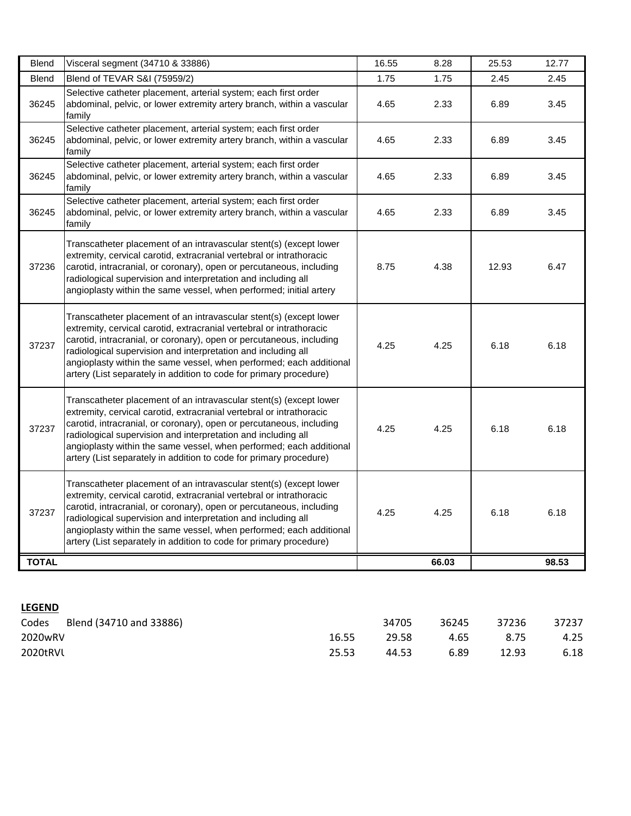| <b>Blend</b> | Visceral segment (34710 & 33886)                                                                                                                                                                                                                                                                                                                                                                                                 | 16.55 | 8.28  | 25.53 | 12.77 |
|--------------|----------------------------------------------------------------------------------------------------------------------------------------------------------------------------------------------------------------------------------------------------------------------------------------------------------------------------------------------------------------------------------------------------------------------------------|-------|-------|-------|-------|
| <b>Blend</b> | Blend of TEVAR S&I (75959/2)                                                                                                                                                                                                                                                                                                                                                                                                     | 1.75  | 1.75  | 2.45  | 2.45  |
| 36245        | Selective catheter placement, arterial system; each first order<br>abdominal, pelvic, or lower extremity artery branch, within a vascular<br>family                                                                                                                                                                                                                                                                              | 4.65  | 2.33  | 6.89  | 3.45  |
| 36245        | Selective catheter placement, arterial system; each first order<br>abdominal, pelvic, or lower extremity artery branch, within a vascular<br>family                                                                                                                                                                                                                                                                              | 4.65  | 2.33  | 6.89  | 3.45  |
| 36245        | Selective catheter placement, arterial system; each first order<br>abdominal, pelvic, or lower extremity artery branch, within a vascular<br>family                                                                                                                                                                                                                                                                              | 4.65  | 2.33  | 6.89  | 3.45  |
| 36245        | Selective catheter placement, arterial system; each first order<br>abdominal, pelvic, or lower extremity artery branch, within a vascular<br>family                                                                                                                                                                                                                                                                              | 4.65  | 2.33  | 6.89  | 3.45  |
| 37236        | Transcatheter placement of an intravascular stent(s) (except lower<br>extremity, cervical carotid, extracranial vertebral or intrathoracic<br>carotid, intracranial, or coronary), open or percutaneous, including<br>radiological supervision and interpretation and including all<br>angioplasty within the same vessel, when performed; initial artery                                                                        | 8.75  | 4.38  | 12.93 | 6.47  |
| 37237        | Transcatheter placement of an intravascular stent(s) (except lower<br>extremity, cervical carotid, extracranial vertebral or intrathoracic<br>carotid, intracranial, or coronary), open or percutaneous, including<br>radiological supervision and interpretation and including all<br>angioplasty within the same vessel, when performed; each additional<br>artery (List separately in addition to code for primary procedure) | 4.25  | 4.25  | 6.18  | 6.18  |
| 37237        | Transcatheter placement of an intravascular stent(s) (except lower<br>extremity, cervical carotid, extracranial vertebral or intrathoracic<br>carotid, intracranial, or coronary), open or percutaneous, including<br>radiological supervision and interpretation and including all<br>angioplasty within the same vessel, when performed; each additional<br>artery (List separately in addition to code for primary procedure) | 4.25  | 4.25  | 6.18  | 6.18  |
| 37237        | Transcatheter placement of an intravascular stent(s) (except lower<br>extremity, cervical carotid, extracranial vertebral or intrathoracic<br>carotid, intracranial, or coronary), open or percutaneous, including<br>radiological supervision and interpretation and including all<br>angioplasty within the same vessel, when performed; each additional<br>artery (List separately in addition to code for primary procedure) | 4.25  | 4.25  | 6.18  | 6.18  |
| <b>TOTAL</b> |                                                                                                                                                                                                                                                                                                                                                                                                                                  |       | 66.03 |       | 98.53 |

## **LEGEND**

| Codes    | Blend (34710 and 33886) |       | 34705 | 36245 | 37236 | 37237 |
|----------|-------------------------|-------|-------|-------|-------|-------|
| 2020wRV  |                         | 16.55 | 29.58 | 4.65  | 8.75  | 4.25  |
| 2020tRVL |                         | 25.53 | 44.53 | 6.89  | 12.93 | 6.18  |